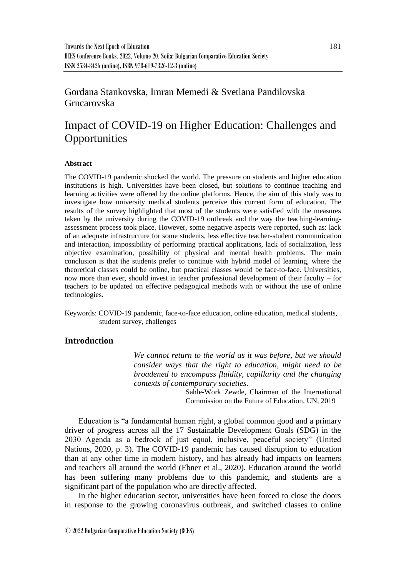## Gordana Stankovska, Imran Memedi & Svetlana Pandilovska Grncarovska

# Impact of COVID-19 on Higher Education: Challenges and **Opportunities**

#### **Abstract**

The COVID-19 pandemic shocked the world. The pressure on students and higher education institutions is high. Universities have been closed, but solutions to continue teaching and learning activities were offered by the online platforms. Hence, the aim of this study was to investigate how university medical students perceive this current form of education. The results of the survey highlighted that most of the students were satisfied with the measures taken by the university during the COVID-19 outbreak and the way the teaching-learningassessment process took place. However, some negative aspects were reported, such as: lack of an adequate infrastructure for some students, less effective teacher-student communication and interaction, impossibility of performing practical applications, lack of socialization, less objective examination, possibility of physical and mental health problems. The main conclusion is that the students prefer to continue with hybrid model of learning, where the theoretical classes could be online, but practical classes would be face-to-face. Universities, now more than ever, should invest in teacher professional development of their faculty – for teachers to be updated on effective pedagogical methods with or without the use of online technologies.

Keywords: COVID-19 pandemic, face-to-face education, online education, medical students, student survey, challenges

## **Introduction**

*We cannot return to the world as it was before, but we should consider ways that the right to education, might need to be broadened to encompass fluidity, capillarity and the changing contexts of contemporary societies.*

Sahle-Work Zewde, Chairman of the International Commission on the Future of Education, UN, 2019

Education is "a fundamental human right, a global common good and a primary driver of progress across all the 17 Sustainable Development Goals (SDG) in the 2030 Agenda as a bedrock of just equal, inclusive, peaceful society" (United Nations, 2020, p. 3). The COVID-19 pandemic has caused disruption to education than at any other time in modern history, and has already had impacts on learners and teachers all around the world (Ebner et al., 2020). Education around the world has been suffering many problems due to this pandemic, and students are a significant part of the population who are directly affected.

In the higher education sector, universities have been forced to close the doors in response to the growing coronavirus outbreak, and switched classes to online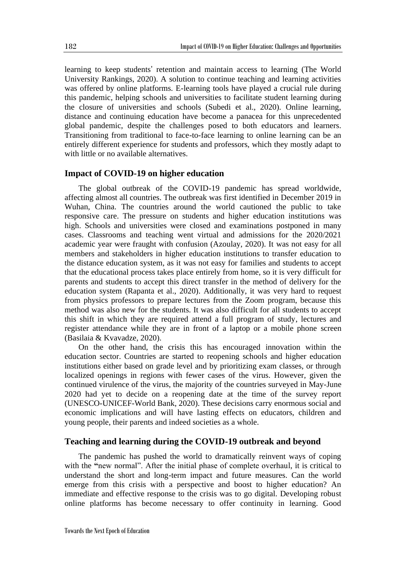learning to keep students' retention and maintain access to learning (The World University Rankings, 2020). A solution to continue teaching and learning activities was offered by online platforms. E-learning tools have played a crucial rule during this pandemic, helping schools and universities to facilitate student learning during the closure of universities and schools (Subedi et al., 2020). Online learning, distance and continuing education have become a panacea for this unprecedented global pandemic, despite the challenges posed to both educators and learners. Transitioning from traditional to face-to-face learning to online learning can be an entirely different experience for students and professors, which they mostly adapt to with little or no available alternatives.

#### **Impact of COVID-19 on higher education**

The global outbreak of the COVID-19 pandemic has spread worldwide, affecting almost all countries. The outbreak was first identified in December 2019 in Wuhan, China. The countries around the world cautioned the public to take responsive care. The pressure on students and higher education institutions was high. Schools and universities were closed and examinations postponed in many cases. Classrooms and teaching went virtual and admissions for the 2020/2021 academic year were fraught with confusion (Azoulay, 2020). It was not easy for all members and stakeholders in higher education institutions to transfer education to the distance education system, as it was not easy for families and students to accept that the educational process takes place entirely from home, so it is very difficult for parents and students to accept this direct transfer in the method of delivery for the education system (Rapanta et al., 2020). Additionally, it was very hard to request from physics professors to prepare lectures from the Zoom program, because this method was also new for the students. It was also difficult for all students to accept this shift in which they are required attend a full program of study, lectures and register attendance while they are in front of a laptop or a mobile phone screen (Basilaia & Kvavadze, 2020).

On the other hand, the crisis this has encouraged innovation within the education sector. Countries are started to reopening schools and higher education institutions either based on grade level and by prioritizing exam classes, or through localized openings in regions with fewer cases of the virus. However, given the continued virulence of the virus, the majority of the countries surveyed in May-June 2020 had yet to decide on a reopening date at the time of the survey report (UNESCO-UNICEF-World Bank, 2020). These decisions carry enormous social and economic implications and will have lasting effects on educators, children and young people, their parents and indeed societies as a whole.

#### **Teaching and learning during the COVID-19 outbreak and beyond**

The pandemic has pushed the world to dramatically reinvent ways of coping with the "new normal". After the initial phase of complete overhaul, it is critical to understand the short and long-term impact and future measures. Can the world emerge from this crisis with a perspective and boost to higher education? An immediate and effective response to the crisis was to go digital. Developing robust online platforms has become necessary to offer continuity in learning. Good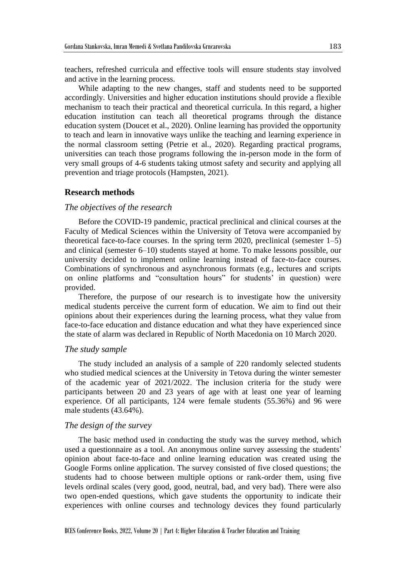teachers, refreshed curricula and effective tools will ensure students stay involved and active in the learning process.

While adapting to the new changes, staff and students need to be supported accordingly. Universities and higher education institutions should provide a flexible mechanism to teach their practical and theoretical curricula. In this regard, a higher education institution can teach all theoretical programs through the distance education system (Doucet et al., 2020). Online learning has provided the opportunity to teach and learn in innovative ways unlike the teaching and learning experience in the normal classroom setting (Petrie et al., 2020). Regarding practical programs, universities can teach those programs following the in-person mode in the form of very small groups of 4-6 students taking utmost safety and security and applying all prevention and triage protocols (Hampsten, 2021).

#### **Research methods**

#### *The objectives of the research*

Before the COVID-19 pandemic, practical preclinical and clinical courses at the Faculty of Medical Sciences within the University of Tetova were accompanied by theoretical face-to-face courses. In the spring term 2020, preclinical (semester  $1-5$ ) and clinical (semester 6–10) students stayed at home. To make lessons possible, our university decided to implement online learning instead of face-to-face courses. Combinations of synchronous and asynchronous formats (e.g., lectures and scripts on online platforms and "consultation hours" for students' in question) were provided.

Therefore, the purpose of our research is to investigate how the university medical students perceive the current form of education. We aim to find out their opinions about their experiences during the learning process, what they value from face-to-face education and distance education and what they have experienced since the state of alarm was declared in Republic of North Macedonia on 10 March 2020.

#### *The study sample*

The study included an analysis of a sample of 220 randomly selected students who studied medical sciences at the University in Tetova during the winter semester of the academic year of 2021/2022. The inclusion criteria for the study were participants between 20 and 23 years of age with at least one year of learning experience. Of all participants, 124 were female students (55.36%) and 96 were male students (43.64%).

#### *The design of the survey*

The basic method used in conducting the study was the survey method, which used a questionnaire as a tool. An anonymous online survey assessing the students' opinion about face-to-face and online learning education was created using the Google Forms online application. The survey consisted of five closed questions; the students had to choose between multiple options or rank-order them, using five levels ordinal scales (very good, good, neutral, bad, and very bad). There were also two open-ended questions, which gave students the opportunity to indicate their experiences with online courses and technology devices they found particularly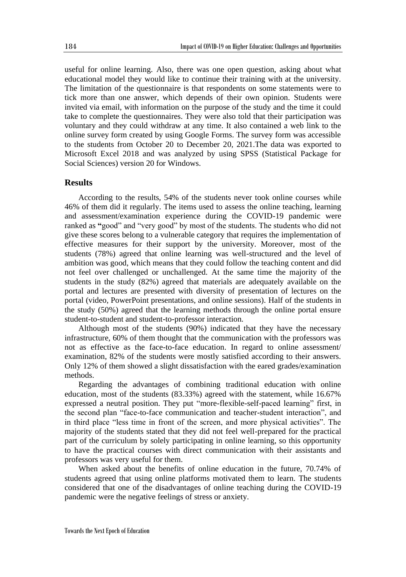useful for online learning. Also, there was one open question, asking about what educational model they would like to continue their training with at the university. The limitation of the questionnaire is that respondents on some statements were to tick more than one answer, which depends of their own opinion. Students were invited via email, with information on the purpose of the study and the time it could take to complete the questionnaires. They were also told that their participation was voluntary and they could withdraw at any time. It also contained a web link to the online survey form created by using Google Forms. The survey form was accessible to the students from October 20 to December 20, 2021.The data was exported to Microsoft Excel 2018 and was analyzed by using SPSS (Statistical Package for Social Sciences) version 20 for Windows.

## **Results**

According to the results, 54% of the students never took online courses while 46% of them did it regularly. The items used to assess the online teaching, learning and assessment/examination experience during the COVID-19 pandemic were ranked as **"**good" and "very good" by most of the students. The students who did not give these scores belong to a vulnerable category that requires the implementation of effective measures for their support by the university. Moreover, most of the students (78%) agreed that online learning was well-structured and the level of ambition was good, which means that they could follow the teaching content and did not feel over challenged or unchallenged. At the same time the majority of the students in the study (82%) agreed that materials are adequately available on the portal and lectures are presented with diversity of presentation of lectures on the portal (video, PowerPoint presentations, and online sessions). Half of the students in the study (50%) agreed that the learning methods through the online portal ensure student-to-student and student-to-professor interaction.

Although most of the students (90%) indicated that they have the necessary infrastructure, 60% of them thought that the communication with the professors was not as effective as the face-to-face education. In regard to online assessment/ examination, 82% of the students were mostly satisfied according to their answers. Only 12% of them showed a slight dissatisfaction with the eared grades/examination methods.

Regarding the advantages of combining traditional education with online education, most of the students (83.33%) agreed with the statement, while 16.67% expressed a neutral position. They put "more-flexible-self-paced learning" first, in the second plan "face-to-face communication and teacher-student interaction", and in third place "less time in front of the screen, and more physical activities". The majority of the students stated that they did not feel well-prepared for the practical part of the curriculum by solely participating in online learning, so this opportunity to have the practical courses with direct communication with their assistants and professors was very useful for them.

When asked about the benefits of online education in the future, 70.74% of students agreed that using online platforms motivated them to learn. The students considered that one of the disadvantages of online teaching during the COVID-19 pandemic were the negative feelings of stress or anxiety.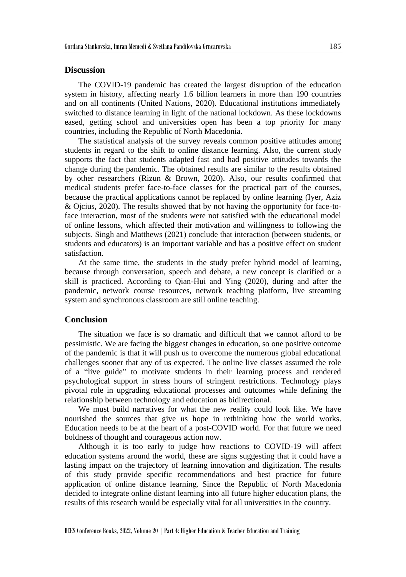## **Discussion**

The COVID-19 pandemic has created the largest disruption of the education system in history, affecting nearly 1.6 billion learners in more than 190 countries and on all continents (United Nations, 2020). Educational institutions immediately switched to distance learning in light of the national lockdown. As these lockdowns eased, getting school and universities open has been a top priority for many countries, including the Republic of North Macedonia.

The statistical analysis of the survey reveals common positive attitudes among students in regard to the shift to online distance learning. Also, the current study supports the fact that students adapted fast and had positive attitudes towards the change during the pandemic. The obtained results are similar to the results obtained by other researchers (Rizun & Brown, 2020). Also, our results confirmed that medical students prefer face-to-face classes for the practical part of the courses, because the practical applications cannot be replaced by online learning (Iyer, Aziz & Ojcius, 2020). The results showed that by not having the opportunity for face-toface interaction, most of the students were not satisfied with the educational model of online lessons, which affected their motivation and willingness to following the subjects. Singh and Matthews (2021) conclude that interaction (between students, or students and educators) is an important variable and has a positive effect on student satisfaction.

At the same time, the students in the study prefer hybrid model of learning, because through conversation, speech and debate, a new concept is clarified or a skill is practiced. According to Qian-Hui and Ying (2020), during and after the pandemic, network course resources, network teaching platform, live streaming system and synchronous classroom are still online teaching.

## **Conclusion**

The situation we face is so dramatic and difficult that we cannot afford to be pessimistic. We are facing the biggest changes in education, so one positive outcome of the pandemic is that it will push us to overcome the numerous global educational challenges sooner that any of us expected. The online live classes assumed the role of a "live guide" to motivate students in their learning process and rendered psychological support in stress hours of stringent restrictions. Technology plays pivotal role in upgrading educational processes and outcomes while defining the relationship between technology and education as bidirectional.

We must build narratives for what the new reality could look like. We have nourished the sources that give us hope in rethinking how the world works. Education needs to be at the heart of a post-COVID world. For that future we need boldness of thought and courageous action now.

Although it is too early to judge how reactions to COVID-19 will affect education systems around the world, these are signs suggesting that it could have a lasting impact on the trajectory of learning innovation and digitization. The results of this study provide specific recommendations and best practice for future application of online distance learning. Since the Republic of North Macedonia decided to integrate online distant learning into all future higher education plans, the results of this research would be especially vital for all universities in the country.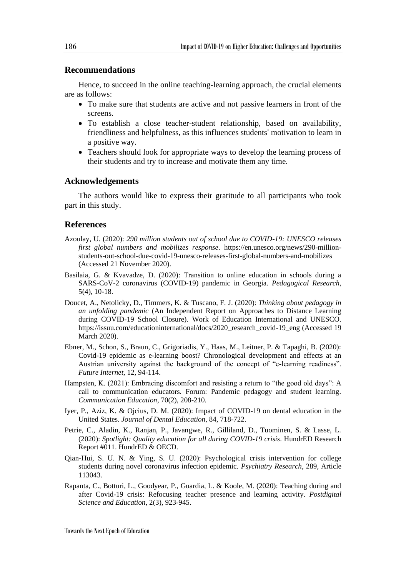## **Recommendations**

Hence, to succeed in the online teaching-learning approach, the crucial elements are as follows:

- To make sure that students are active and not passive learners in front of the screens.
- To establish a close teacher-student relationship, based on availability, friendliness and helpfulness, as this influences students' motivation to learn in a positive way.
- Teachers should look for appropriate ways to develop the learning process of their students and try to increase and motivate them any time.

#### **Acknowledgements**

The authors would like to express their gratitude to all participants who took part in this study.

## **References**

- Azoulay, U. (2020): *290 million students out of school due to COVID-19: UNESCO releases first global numbers and mobilizes response*. https://en.unesco.org/news/290-millionstudents-out-school-due-covid-19-unesco-releases-first-global-numbers-and-mobilizes (Accessed 21 November 2020).
- Basilaia, G. & Kvavadze, D. (2020): Transition to online education in schools during a SARS-CoV-2 coronavirus (COVID-19) pandemic in Georgia. *Pedagogical Research*, 5(4), 10-18.
- Doucet, A., Netolicky, D., Timmers, K. & Tuscano, F. J. (2020): *Thinking about pedagogy in an unfolding pandemic* (An Independent Report on Approaches to Distance Learning during COVID-19 School Closure). Work of Education International and UNESCO. https://issuu.com/educationinternational/docs/2020\_research\_covid-19\_eng (Accessed 19 March 2020).
- Ebner, M., Schon, S., Braun, C., Grigoriadis, Y., Haas, M., Leitner, P. & Tapaghi, B. (2020): Covid-19 epidemic as e-learning boost? Chronological development and effects at an Austrian university against the background of the concept of "e-learning readiness". *Future Internet*, 12, 94-114.
- Hampsten, K. (2021): Embracing discomfort and resisting a return to "the good old days": A call to communication educators. Forum: Pandemic pedagogy and student learning. *Communication Education*, 70(2), 208-210.
- Iyer, P., Aziz, K. & Ojcius, D. M. (2020): Impact of COVID-19 on dental education in the United States. *Journal of Dental Education*, 84, 718-722.
- Petrie, C., Aladin, K., Ranjan, P., Javangwe, R., Gilliland, D., Tuominen, S. & Lasse, L. (2020): *Spotlight: Quality education for all during COVID-19 crisis*. HundrED Research Report #011. HundrED & OECD.
- Qian-Hui, S. U. N. & Ying, S. U. (2020): Psychological crisis intervention for college students during novel coronavirus infection epidemic. *Psychiatry Research*, 289, Article 113043.
- Rapanta, C., Botturi, L., Goodyear, P., Guardia, L. & Koole, M. (2020): Teaching during and after Covid-19 crisis: Refocusing teacher presence and learning activity. *Postdigital Science and Education*, 2(3), 923-945.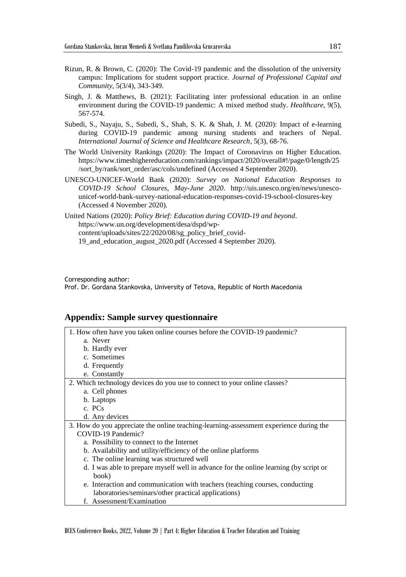- Rizun, R. & Brown, C. (2020): The Covid-19 pandemic and the dissolution of the university campus: Implications for student support practice. *Journal of Professional Capital and Community*, 5(3/4), 343-349.
- Singh, J. & Matthews, B. (2021): Facilitating inter professional education in an online environment during the COVID-19 pandemic: A mixed method study. *Healthcare*, 9(5), 567-574.
- Subedi, S., Nayaju, S., Subedi, S., Shah, S. K. & Shah, J. M. (2020): Impact of e-learning during COVID-19 pandemic among nursing students and teachers of Nepal. *International Journal of Science and Healthcare Research*, 5(3), 68-76.
- The World University Rankings (2020): The Impact of Coronavirus on Higher Education. https://www.timeshighereducation.com/rankings/impact/2020/overall#!/page/0/length/25 /sort\_by/rank/sort\_order/asc/cols/undefined (Accessed 4 September 2020).
- UNESCO-UNICEF-World Bank (2020): *Survey on National Education Responses to COVID-19 School Closures, May-June 2020*. http://uis.unesco.org/en/news/unescounicef-world-bank-survey-national-education-responses-covid-19-school-closures-key (Accessed 4 November 2020).

United Nations (2020): *Policy Brief: Education during COVID-19 and beyond*. https://www.un.org/development/desa/dspd/wpcontent/uploads/sites/22/2020/08/sg\_policy\_brief\_covid-19\_and\_education\_august\_2020.pdf (Accessed 4 September 2020).

Corresponding author:

Prof. Dr. Gordana Stankovska, University of Tetova, Republic of North Macedonia

## **Appendix: Sample survey questionnaire**

| 1. How often have you taken online courses before the COVID-19 pandemic?               |
|----------------------------------------------------------------------------------------|
| a. Never                                                                               |
| b. Hardly ever                                                                         |
| c. Sometimes                                                                           |
| d. Frequently                                                                          |
| e. Constantly                                                                          |
| 2. Which technology devices do you use to connect to your online classes?              |
| a. Cell phones                                                                         |
| b. Laptops                                                                             |
| c. PCs                                                                                 |
| d. Any devices                                                                         |
| 3. How do you appreciate the online teaching-learning-assessment experience during the |
| COVID-19 Pandemic?                                                                     |
| a. Possibility to connect to the Internet                                              |
| b. Availability and utility/efficiency of the online platforms                         |
| c. The online learning was structured well                                             |
| d. I was able to prepare myself well in advance for the online learning (by script or  |
| book)                                                                                  |
| e. Interaction and communication with teachers (teaching courses, conducting           |
| laboratories/seminars/other practical applications)                                    |
| f. Assessment/Examination                                                              |